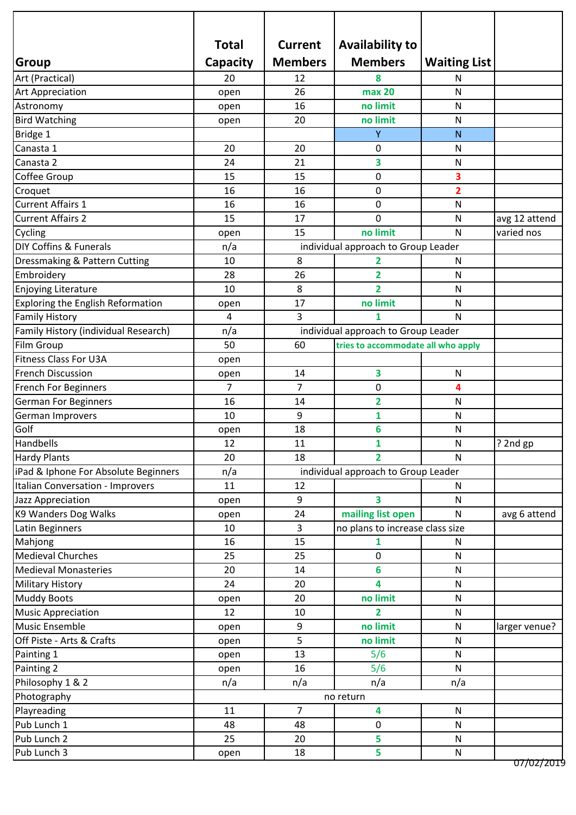|                                          | <b>Total</b>   | <b>Current</b>                      | <b>Availability to</b>              |                     |                        |  |
|------------------------------------------|----------------|-------------------------------------|-------------------------------------|---------------------|------------------------|--|
| Group                                    | Capacity       | <b>Members</b>                      | <b>Members</b>                      | <b>Waiting List</b> |                        |  |
| Art (Practical)                          | 20             | 12                                  | 8                                   | N                   |                        |  |
|                                          |                | 26                                  | max 20                              | N                   |                        |  |
| <b>Art Appreciation</b><br>Astronomy     | open           | 16                                  | no limit                            | N                   |                        |  |
| <b>Bird Watching</b>                     | open           | 20                                  | no limit                            | N                   |                        |  |
|                                          | open           |                                     | Y                                   | N                   |                        |  |
| Bridge 1<br>Canasta 1                    | 20             | 20                                  |                                     |                     |                        |  |
|                                          |                |                                     | 0                                   | N                   |                        |  |
| Canasta 2                                | 24             | 21                                  | 3                                   | N                   |                        |  |
| Coffee Group                             | 15             | 15                                  | $\pmb{0}$                           | 3                   |                        |  |
| Croquet                                  | 16             | 16                                  | 0                                   | $\overline{2}$      |                        |  |
| <b>Current Affairs 1</b>                 | 16             | 16                                  | 0                                   | N                   |                        |  |
| <b>Current Affairs 2</b>                 | 15             | 17                                  | 0                                   | N                   | avg 12 attend          |  |
| Cycling                                  | open           | 15                                  | no limit                            | N                   | varied nos             |  |
| DIY Coffins & Funerals                   | n/a            |                                     | individual approach to Group Leader |                     |                        |  |
| Dressmaking & Pattern Cutting            | 10             | 8                                   | $\overline{2}$                      | N                   |                        |  |
| Embroidery                               | 28             | 26                                  | $\overline{2}$                      | N                   |                        |  |
| Enjoying Literature                      | 10             | 8                                   | $\overline{2}$                      | N                   |                        |  |
| <b>Exploring the English Reformation</b> | open           | 17                                  | no limit                            | N                   |                        |  |
| <b>Family History</b>                    | $\overline{a}$ | 3                                   | 1                                   | N                   |                        |  |
| Family History (individual Research)     | n/a            |                                     | individual approach to Group Leader |                     |                        |  |
| Film Group                               | 50             | 60                                  | tries to accommodate all who apply  |                     |                        |  |
| <b>Fitness Class For U3A</b>             | open           |                                     |                                     |                     |                        |  |
| <b>French Discussion</b>                 | open           | 14                                  | $\overline{\mathbf{3}}$             | ${\sf N}$           |                        |  |
| <b>French For Beginners</b>              | $\overline{7}$ | $\overline{7}$                      | 0                                   | 4                   |                        |  |
| <b>German For Beginners</b>              | 16             | 14                                  | $\overline{2}$                      | N                   |                        |  |
| German Improvers                         | 10             | 9                                   | 1                                   | N                   |                        |  |
| Golf                                     | open           | 18                                  | 6                                   | N                   |                        |  |
| Handbells                                | 12             | 11                                  | $\mathbf{1}$                        | N                   | ? 2nd gp               |  |
| <b>Hardy Plants</b>                      | 20             | 18                                  | $\overline{2}$                      | $\mathsf{N}$        | יי                     |  |
| iPad & Iphone For Absolute Beginners     | n/a            | individual approach to Group Leader |                                     |                     |                        |  |
| Italian Conversation - Improvers         | 11             | 12                                  | N                                   |                     |                        |  |
| Jazz Appreciation                        | open           | 9                                   | 3                                   | N                   |                        |  |
| K9 Wanders Dog Walks                     | open           | 24                                  | mailing list open                   | N                   | avg 6 attend           |  |
| Latin Beginners                          | 10             | $\overline{3}$                      | no plans to increase class size     |                     |                        |  |
| Mahjong                                  | 16             | 15                                  | 1                                   | N                   |                        |  |
| <b>Medieval Churches</b>                 | 25             | 25                                  | 0                                   | $\mathsf{N}$        |                        |  |
| <b>Medieval Monasteries</b>              | 20             | 14                                  | 6                                   | ${\sf N}$           |                        |  |
| <b>Military History</b>                  | 24             | 20                                  | 4                                   | N                   |                        |  |
| <b>Muddy Boots</b>                       | open           | 20                                  | no limit                            | N                   |                        |  |
| <b>Music Appreciation</b>                | 12             | 10                                  | 2                                   | N                   |                        |  |
| <b>Music Ensemble</b>                    |                | 9                                   | no limit                            | $\mathsf{N}$        |                        |  |
| Off Piste - Arts & Crafts                | open           | 5                                   | no limit                            | ${\sf N}$           | larger venue?          |  |
|                                          | open           | 13                                  |                                     | N                   |                        |  |
| Painting 1                               | open           | 16                                  | 5/6<br>5/6                          | $\mathsf{N}$        |                        |  |
| Painting 2                               | open           | n/a                                 | n/a                                 |                     |                        |  |
| Philosophy 1 & 2                         | n/a            | n/a                                 |                                     |                     |                        |  |
| Photography                              | no return      |                                     |                                     |                     |                        |  |
| Playreading                              | 11             | $\overline{7}$                      | $\overline{\mathbf{4}}$             | $\mathsf{N}$        |                        |  |
| Pub Lunch 1                              | 48             | 48                                  | $\mathbf 0$                         | $\mathsf{N}$        |                        |  |
| Pub Lunch 2                              | 25             | 20                                  | 5                                   | ${\sf N}$           |                        |  |
| Pub Lunch 3                              | open           | 18                                  | 5                                   | N                   | <del>07/02/201</del> 9 |  |